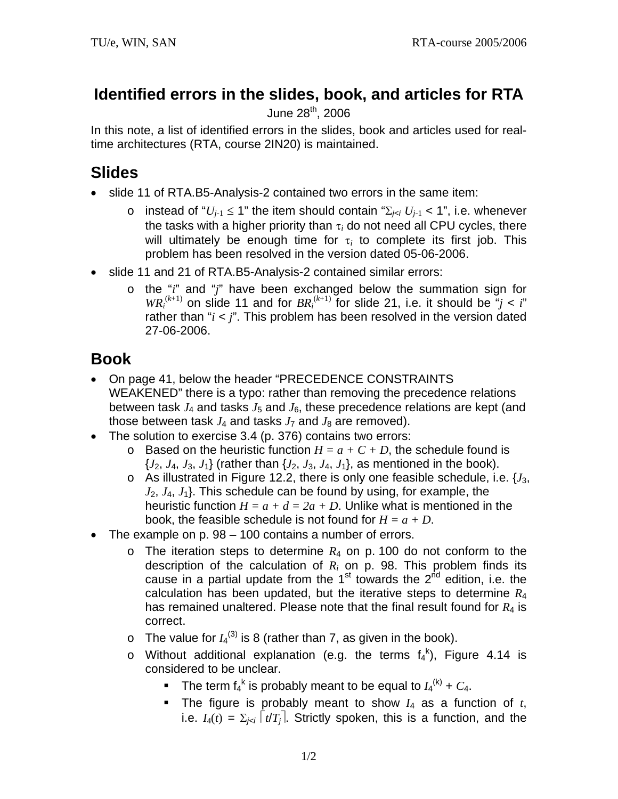## **Identified errors in the slides, book, and articles for RTA**

## June 28<sup>th</sup>, 2006

In this note, a list of identified errors in the slides, book and articles used for realtime architectures (RTA, course 2IN20) is maintained.

## **Slides**

- slide 11 of RTA.B5-Analysis-2 contained two errors in the same item:
	- o instead of " $U_{i-1} \leq 1$ " the item should contain " $\Sigma_{i \leq i} U_{i-1} < 1$ ", i.e. whenever the tasks with a higher priority than τ*i* do not need all CPU cycles, there will ultimately be enough time for  $\tau_i$  to complete its first job. This problem has been resolved in the version dated 05-06-2006.
- slide 11 and 21 of RTA.B5-Analysis-2 contained similar errors:
	- o the "*i*" and "*j*" have been exchanged below the summation sign for  $WR_i^{(k+1)}$  on slide 11 and for  $BR_i^{(k+1)}$  for slide 21, i.e. it should be "*j* < *i*" rather than "*i* < *j*". This problem has been resolved in the version dated 27-06-2006.

## **Book**

- On page 41, below the header "PRECEDENCE CONSTRAINTS WEAKENED" there is a typo: rather than removing the precedence relations between task  $J_4$  and tasks  $J_5$  and  $J_6$ , these precedence relations are kept (and those between task  $J_4$  and tasks  $J_7$  and  $J_8$  are removed).
- The solution to exercise 3.4 (p. 376) contains two errors:
	- $\circ$  Based on the heuristic function  $H = a + C + D$ , the schedule found is  $\{J_2, J_4, J_3, J_1\}$  (rather than  $\{J_2, J_3, J_4, J_1\}$ , as mentioned in the book).
	- $\circ$  As illustrated in Figure 12.2, there is only one feasible schedule, i.e.  $\{J_3, J_4\}$ *J*2, *J*4, *J*1}. This schedule can be found by using, for example, the heuristic function  $H = a + d = 2a + D$ . Unlike what is mentioned in the book, the feasible schedule is not found for *H = a + D*.
- The example on p. 98 100 contains a number of errors.
	- $\circ$  The iteration steps to determine  $R_4$  on p. 100 do not conform to the description of the calculation of *Ri* on p. 98. This problem finds its cause in a partial update from the  $1<sup>st</sup>$  towards the  $2<sup>nd</sup>$  edition, i.e. the calculation has been updated, but the iterative steps to determine *R*<sup>4</sup> has remained unaltered. Please note that the final result found for *R*4 is correct.
	- $\circ$  The value for  $I_4^{(3)}$  is 8 (rather than 7, as given in the book).
	- o Without additional explanation (e.g. the terms  $f_4^k$ ), Figure 4.14 is considered to be unclear.
		- The term  $f_4^k$  is probably meant to be equal to  $I_4^{(k)}$  +  $C_4$ .
		- The figure is probably meant to show  $I_4$  as a function of  $t$ , i.e.  $I_4(t) = \sum_{i \le i} |t/T_i|$ . Strictly spoken, this is a function, and the